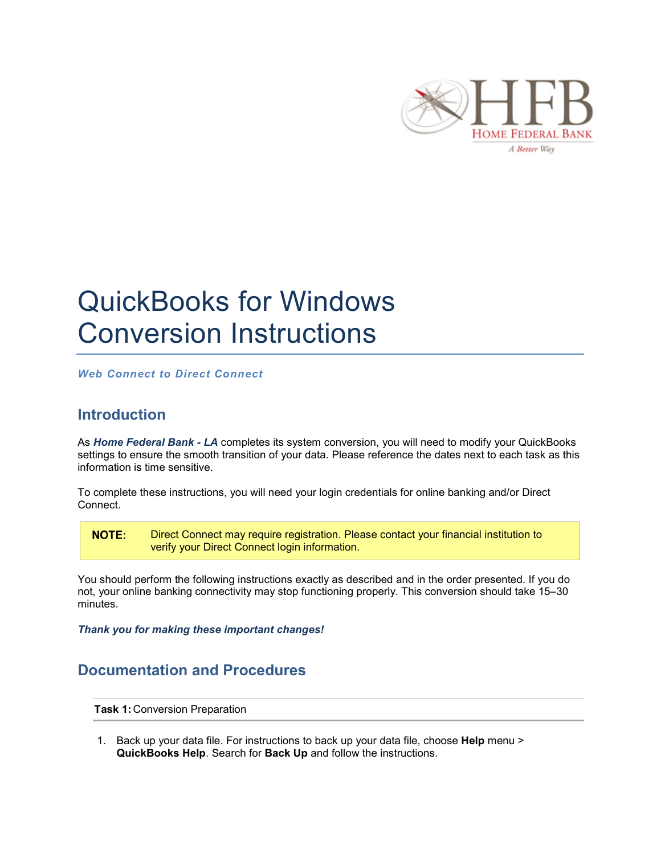

## QuickBooks for Windows Conversion Instructions

*Web Connect to Direct Connect*

## **Introduction**

As *Home Federal Bank - LA* completes its system conversion, you will need to modify your QuickBooks settings to ensure the smooth transition of your data. Please reference the dates next to each task as this information is time sensitive.

To complete these instructions, you will need your login credentials for online banking and/or Direct Connect.

**NOTE:** Direct Connect may require registration. Please contact your financial institution to verify your Direct Connect login information.

You should perform the following instructions exactly as described and in the order presented. If you do not, your online banking connectivity may stop functioning properly. This conversion should take 15–30 minutes.

*Thank you for making these important changes!*

## **Documentation and Procedures**

**Task 1:** Conversion Preparation

1. Back up your data file. For instructions to back up your data file, choose **Help** menu > **QuickBooks Help**. Search for **Back Up** and follow the instructions.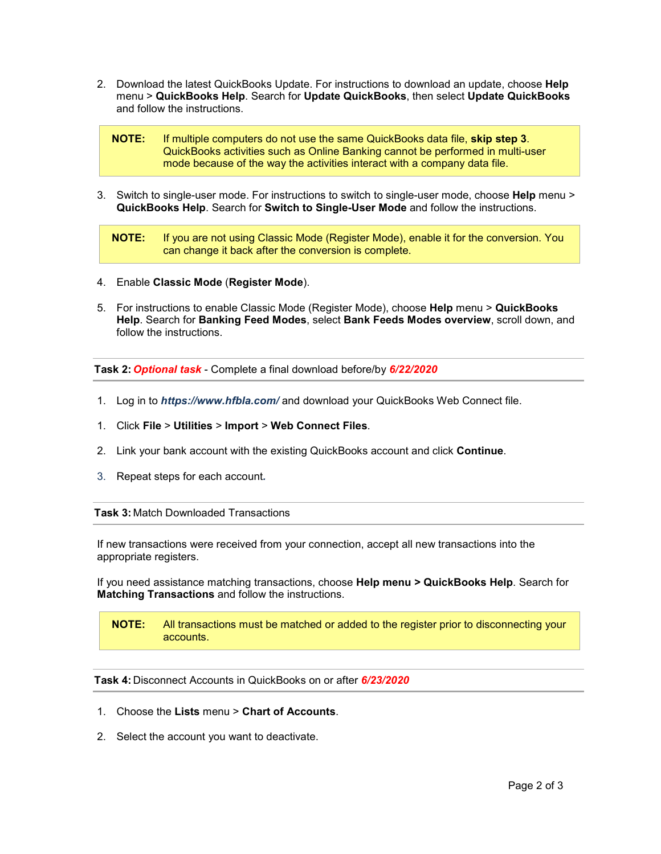2. Download the latest QuickBooks Update. For instructions to download an update, choose **Help** menu > **QuickBooks Help**. Search for **Update QuickBooks**, then select **Update QuickBooks** and follow the instructions.

**NOTE:** If multiple computers do not use the same QuickBooks data file, **skip step 3**. QuickBooks activities such as Online Banking cannot be performed in multi-user mode because of the way the activities interact with a company data file.

3. Switch to single-user mode. For instructions to switch to single-user mode, choose **Help** menu > **QuickBooks Help**. Search for **Switch to Single-User Mode** and follow the instructions.

**NOTE:** If you are not using Classic Mode (Register Mode), enable it for the conversion. You can change it back after the conversion is complete.

- 4. Enable **Classic Mode** (**Register Mode**).
- 5. For instructions to enable Classic Mode (Register Mode), choose **Help** menu > **QuickBooks Help**. Search for **Banking Feed Modes**, select **Bank Feeds Modes overview**, scroll down, and follow the instructions.

**Task 2:** *Optional task* - Complete a final download before/by *6/22/2020*

- 1. Log in to *https://www.hfbla.com/* and download your QuickBooks Web Connect file.
- 1. Click **File** > **Utilities** > **Import** > **Web Connect Files**.
- 2. Link your bank account with the existing QuickBooks account and click **Continue**.
- 3. Repeat steps for each account*.*

**Task 3:** Match Downloaded Transactions

If new transactions were received from your connection, accept all new transactions into the appropriate registers.

If you need assistance matching transactions, choose **Help menu > QuickBooks Help**. Search for **Matching Transactions** and follow the instructions.

**NOTE:** All transactions must be matched or added to the register prior to disconnecting your accounts.

**Task 4:** Disconnect Accounts in QuickBooks on or after *6/23/2020*

- 1. Choose the **Lists** menu > **Chart of Accounts**.
- 2. Select the account you want to deactivate.